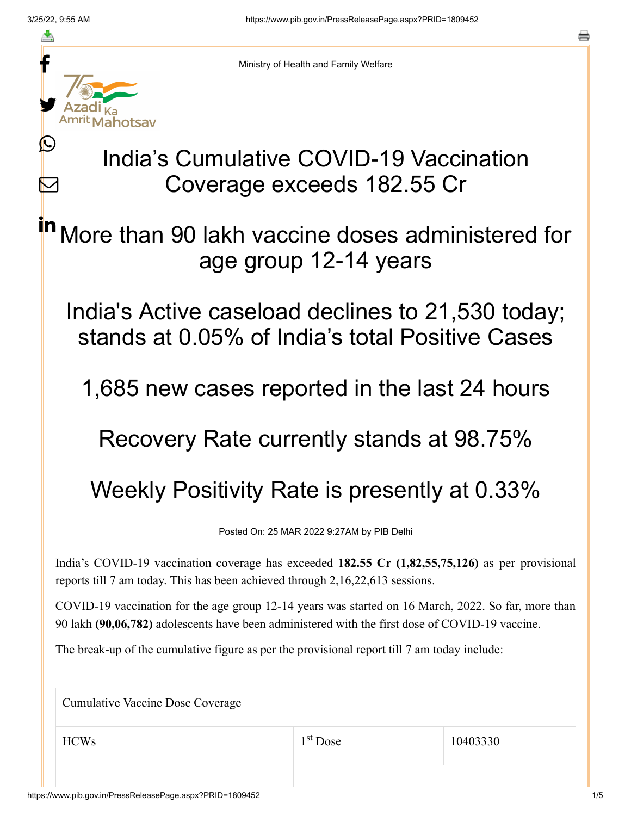≛

 $\mathbf{\Omega}$ 

 $\bm{\nabla}$ 



Ministry of Health and Family Welfare

## India's Cumulative COVID-19 Vaccination Coverage exceeds 182.55 Cr

More than 90 lakh vaccine doses administered for age group 12-14 years in

India's Active caseload declines to 21,530 today; stands at 0.05% of India's total Positive Cases

1,685 new cases reported in the last 24 hours

Recovery Rate currently stands at 98.75%

Weekly Positivity Rate is presently at 0.33%

Posted On: 25 MAR 2022 9:27AM by PIB Delhi

India's COVID-19 vaccination coverage has exceeded **182.55 Cr (1,82,55,75,126)** as per provisional reports till 7 am today. This has been achieved through 2,16,22,613 sessions.

COVID-19 vaccination for the age group 12-14 years was started on 16 March, 2022. So far, more than 90 lakh **(90,06,782)** adolescents have been administered with the first dose of COVID-19 vaccine.

The break-up of the cumulative figure as per the provisional report till 7 am today include:

Cumulative Vaccine Dose Coverage  $HCWs$  1<sup>st</sup> Dose 10403330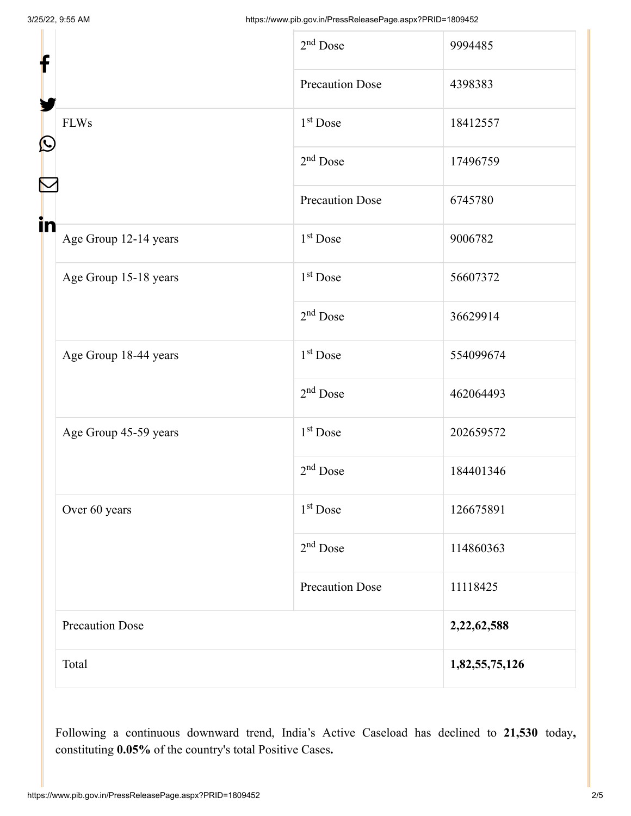| f                     |                        | $2nd$ Dose             | 9994485        |
|-----------------------|------------------------|------------------------|----------------|
|                       |                        | <b>Precaution Dose</b> | 4398383        |
| <b>FLWs</b>           |                        | 1 <sup>st</sup> Dose   | 18412557       |
| $\mathbf{\Omega}$     |                        | $2nd$ Dose             | 17496759       |
| in                    |                        | <b>Precaution Dose</b> | 6745780        |
| Age Group 12-14 years |                        | $1st$ Dose             | 9006782        |
| Age Group 15-18 years |                        | 1 <sup>st</sup> Dose   | 56607372       |
|                       |                        | $2nd$ Dose             | 36629914       |
| Age Group 18-44 years |                        | $1st$ Dose             | 554099674      |
|                       |                        | $2nd$ Dose             | 462064493      |
| Age Group 45-59 years |                        | $1st$ Dose             | 202659572      |
|                       |                        | $2nd$ Dose             | 184401346      |
| Over 60 years         |                        | 1 <sup>st</sup> Dose   | 126675891      |
|                       |                        | $2nd$ Dose             | 114860363      |
|                       |                        | <b>Precaution Dose</b> | 11118425       |
|                       | <b>Precaution Dose</b> |                        |                |
| Total                 |                        |                        | 1,82,55,75,126 |

Following a continuous downward trend, India's Active Caseload has declined to **21,530** today**,** constituting **0.05%** of the country's total Positive Cases**.**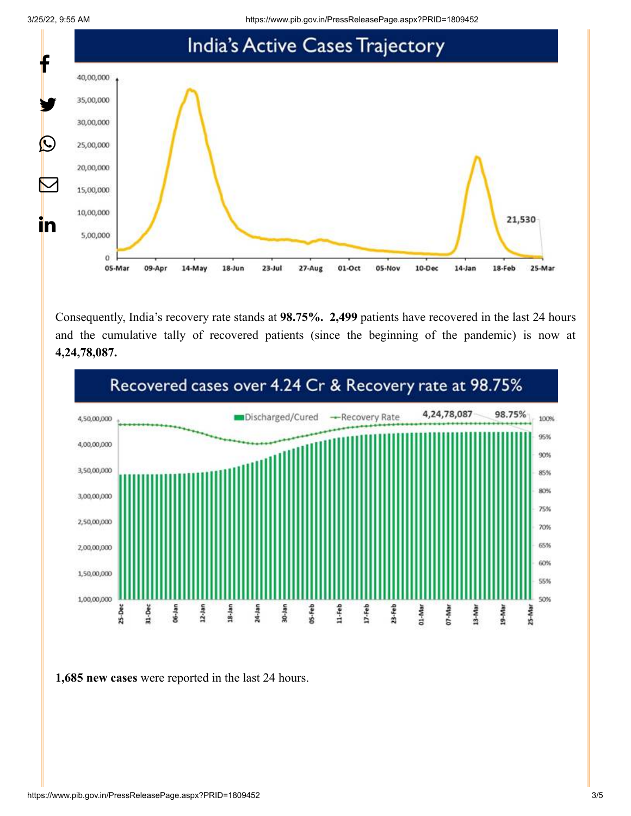

Consequently, India's recovery rate stands at **98.75%. 2,499** patients have recovered in the last 24 hours and the cumulative tally of recovered patients (since the beginning of the pandemic) is now at **4,24,78,087.**



**1,685 new cases** were reported in the last 24 hours.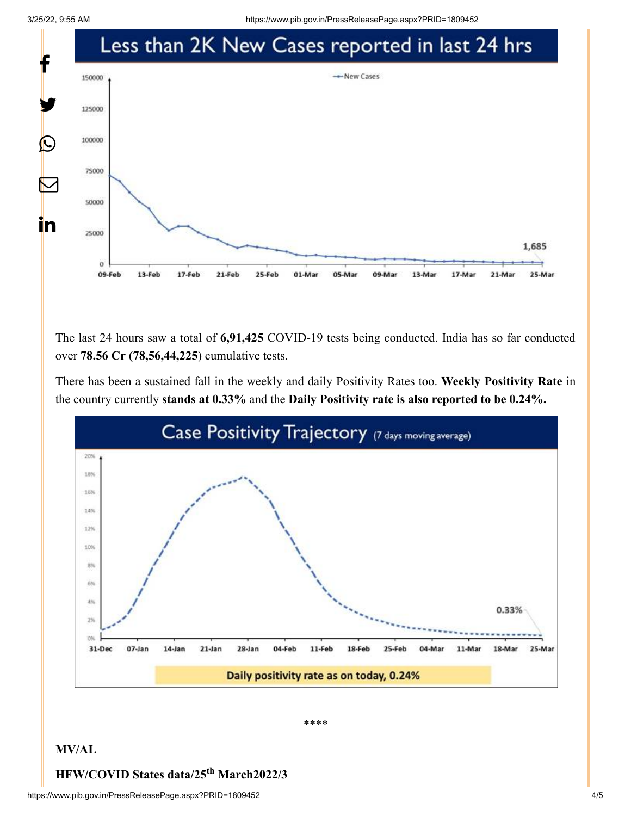

The last 24 hours saw a total of **6,91,425** COVID-19 tests being conducted. India has so far conducted over **78.56 Cr (78,56,44,225**) cumulative tests.

There has been a sustained fall in the weekly and daily Positivity Rates too. **Weekly Positivity Rate** in the country currently **stands at 0.33%** and the **Daily Positivity rate is also reported to be 0.24%.**



\*\*\*\*

## **MV/AL**

## **HFW/COVID States data/25<sup>th</sup> March2022/3**